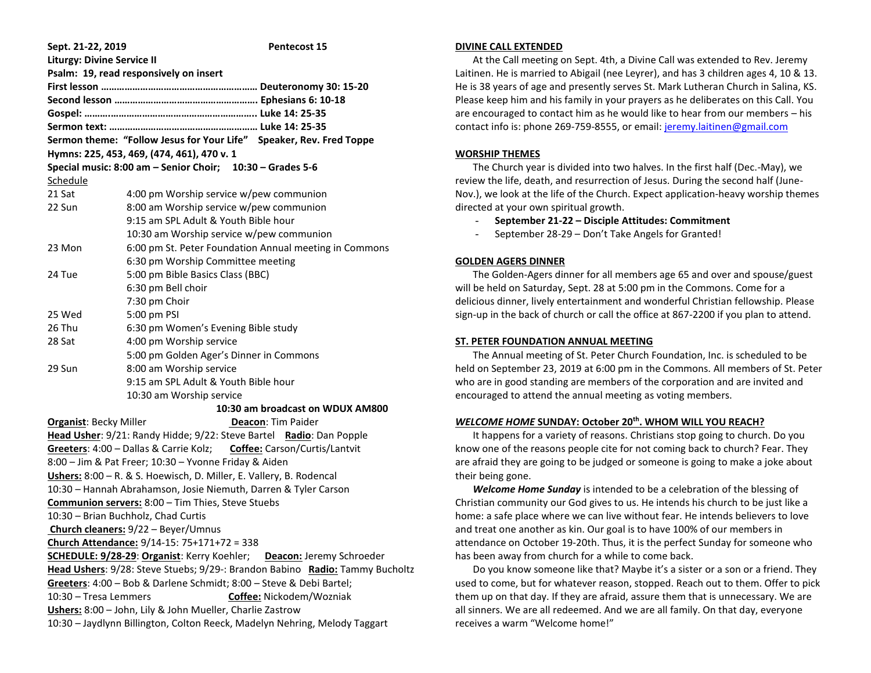| Sept. 21-22, 2019                                                            | <b>Pentecost 15</b>                                                 |
|------------------------------------------------------------------------------|---------------------------------------------------------------------|
| <b>Liturgy: Divine Service II</b>                                            |                                                                     |
| Psalm: 19, read responsively on insert                                       |                                                                     |
|                                                                              |                                                                     |
|                                                                              |                                                                     |
|                                                                              |                                                                     |
|                                                                              |                                                                     |
|                                                                              | Sermon theme: "Follow Jesus for Your Life" Speaker, Rev. Fred Toppe |
| Hymns: 225, 453, 469, (474, 461), 470 v. 1                                   |                                                                     |
|                                                                              | Special music: 8:00 am - Senior Choir; 10:30 - Grades 5-6           |
| Schedule                                                                     |                                                                     |
| 21 Sat                                                                       | 4:00 pm Worship service w/pew communion                             |
| 22 Sun                                                                       | 8:00 am Worship service w/pew communion                             |
|                                                                              | 9:15 am SPL Adult & Youth Bible hour                                |
|                                                                              | 10:30 am Worship service w/pew communion                            |
| 23 Mon                                                                       | 6:00 pm St. Peter Foundation Annual meeting in Commons              |
|                                                                              | 6:30 pm Worship Committee meeting                                   |
| 24 Tue                                                                       | 5:00 pm Bible Basics Class (BBC)                                    |
|                                                                              | 6:30 pm Bell choir                                                  |
|                                                                              | 7:30 pm Choir                                                       |
| 25 Wed                                                                       | 5:00 pm PSI                                                         |
| 26 Thu                                                                       | 6:30 pm Women's Evening Bible study                                 |
| 28 Sat                                                                       | 4:00 pm Worship service                                             |
|                                                                              | 5:00 pm Golden Ager's Dinner in Commons                             |
| 29 Sun                                                                       | 8:00 am Worship service                                             |
|                                                                              | 9:15 am SPL Adult & Youth Bible hour                                |
|                                                                              | 10:30 am Worship service                                            |
|                                                                              | 10:30 am broadcast on WDUX AM800                                    |
| <b>Organist: Becky Miller</b><br><b>Deacon: Tim Paider</b>                   |                                                                     |
| Head Usher: 9/21: Randy Hidde; 9/22: Steve Bartel Radio: Dan Popple          |                                                                     |
| Greeters: 4:00 - Dallas & Carrie Kolz; Coffee: Carson/Curtis/Lantvit         |                                                                     |
| 8:00 - Jim & Pat Freer; 10:30 - Yvonne Friday & Aiden                        |                                                                     |
| Ushers: 8:00 - R. & S. Hoewisch, D. Miller, E. Vallery, B. Rodencal          |                                                                     |
| 10:30 - Hannah Abrahamson, Josie Niemuth, Darren & Tyler Carson              |                                                                     |
| Communion servers: 8:00 - Tim Thies, Steve Stuebs                            |                                                                     |
| 10:30 - Brian Buchholz, Chad Curtis                                          |                                                                     |
| Church cleaners: 9/22 - Beyer/Umnus                                          |                                                                     |
| Church Attendance: 9/14-15: 75+171+72 = 338                                  |                                                                     |
| SCHEDULE: 9/28-29: Organist: Kerry Koehler;<br>Deacon: Jeremy Schroeder      |                                                                     |
| Head Ushers: 9/28: Steve Stuebs; 9/29-: Brandon Babino Radio: Tammy Bucholtz |                                                                     |
| Greeters: 4:00 - Bob & Darlene Schmidt; 8:00 - Steve & Debi Bartel;          |                                                                     |
| 10:30 - Tresa Lemmers<br>Coffee: Nickodem/Wozniak                            |                                                                     |
| Ushers: 8:00 - John, Lily & John Mueller, Charlie Zastrow                    |                                                                     |
| 10:30 - Jaydlynn Billington, Colton Reeck, Madelyn Nehring, Melody Taggart   |                                                                     |

#### **DIVINE CALL EXTENDED**

 At the Call meeting on Sept. 4th, a Divine Call was extended to Rev. Jeremy Laitinen. He is married to Abigail (nee Leyrer), and has 3 children ages 4, 10 & 13. He is 38 years of age and presently serves St. Mark Lutheran Church in Salina, KS. Please keep him and his family in your prayers as he deliberates on this Call. You are encouraged to contact him as he would like to hear from our members – his contact info is: phone 269-759-8555, or email: [jeremy.laitinen@gmail.com](mailto:jeremy.laitinen@gmail.com)

# **WORSHIP THEMES**

 The Church year is divided into two halves. In the first half (Dec.-May), we review the life, death, and resurrection of Jesus. During the second half (June-Nov.), we look at the life of the Church. Expect application-heavy worship themes directed at your own spiritual growth.

- **September 21-22 – Disciple Attitudes: Commitment**
- September 28-29 Don't Take Angels for Granted!

# **GOLDEN AGERS DINNER**

 The Golden-Agers dinner for all members age 65 and over and spouse/guest will be held on Saturday, Sept. 28 at 5:00 pm in the Commons. Come for a delicious dinner, lively entertainment and wonderful Christian fellowship. Please sign-up in the back of church or call the office at 867-2200 if you plan to attend.

## **ST. PETER FOUNDATION ANNUAL MEETING**

 The Annual meeting of St. Peter Church Foundation, Inc. is scheduled to be held on September 23, 2019 at 6:00 pm in the Commons. All members of St. Peter who are in good standing are members of the corporation and are invited and encouraged to attend the annual meeting as voting members.

# *WELCOME HOME* **SUNDAY: October 20th. WHOM WILL YOU REACH?**

 It happens for a variety of reasons. Christians stop going to church. Do you know one of the reasons people cite for not coming back to church? Fear. They are afraid they are going to be judged or someone is going to make a joke about their being gone.

 *Welcome Home Sunday* is intended to be a celebration of the blessing of Christian community our God gives to us. He intends his church to be just like a home: a safe place where we can live without fear. He intends believers to love and treat one another as kin. Our goal is to have 100% of our members in attendance on October 19-20th. Thus, it is the perfect Sunday for someone who has been away from church for a while to come back.

 Do you know someone like that? Maybe it's a sister or a son or a friend. They used to come, but for whatever reason, stopped. Reach out to them. Offer to pick them up on that day. If they are afraid, assure them that is unnecessary. We are all sinners. We are all redeemed. And we are all family. On that day, everyone receives a warm "Welcome home!"